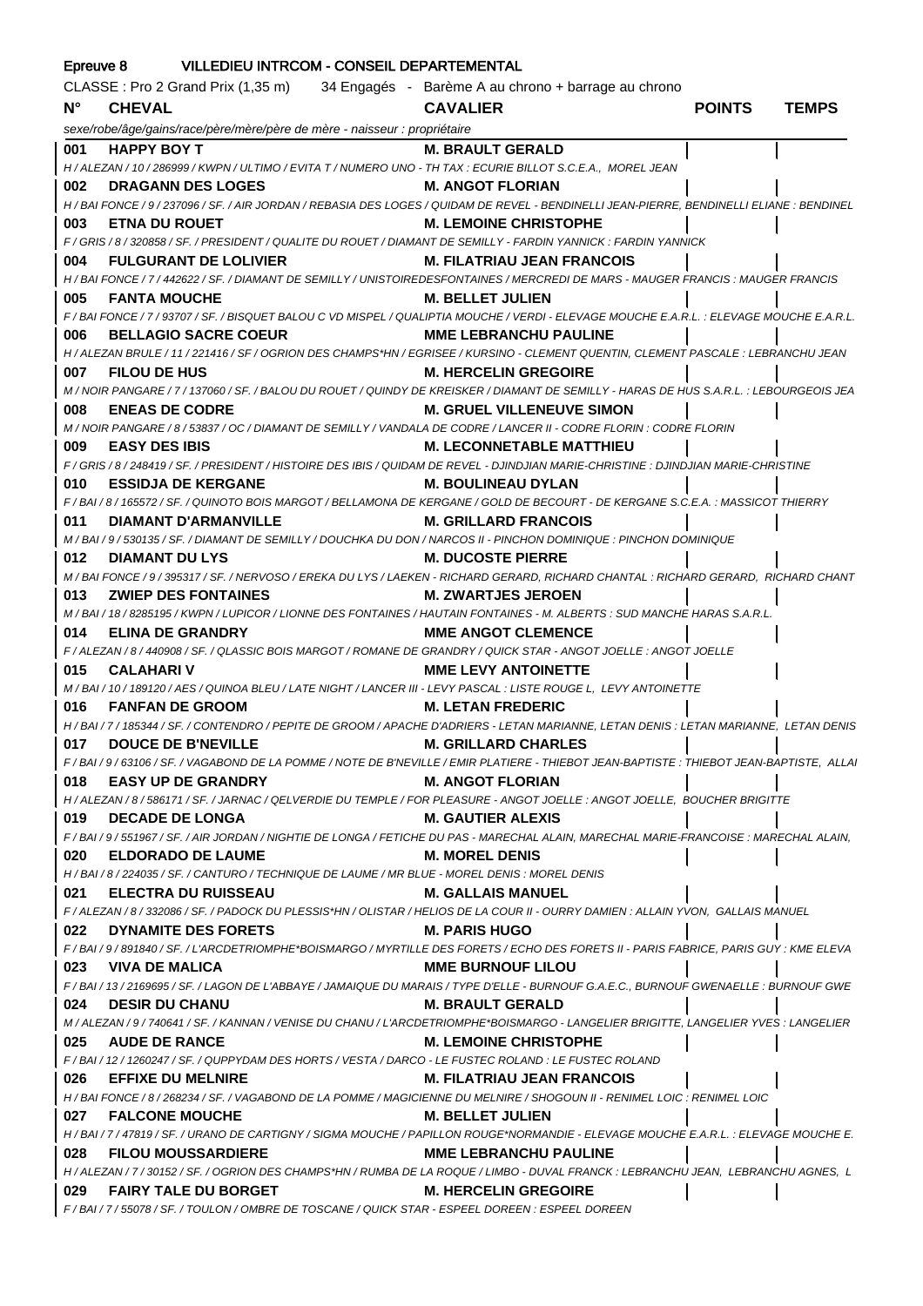| Epreuve 8 VILLEDIEU INTRCOM - CONSEIL DEPARTEMENTAL |                                                                                                                                                   |                                   |               |              |
|-----------------------------------------------------|---------------------------------------------------------------------------------------------------------------------------------------------------|-----------------------------------|---------------|--------------|
|                                                     | CLASSE : Pro 2 Grand Prix (1,35 m) 34 Engagés - Barème A au chrono + barrage au chrono                                                            |                                   |               |              |
| $N^{\circ}$                                         | <b>CHEVAL</b>                                                                                                                                     | <b>CAVALIER</b>                   | <b>POINTS</b> | <b>TEMPS</b> |
|                                                     | sexe/robe/âge/gains/race/père/mère/père de mère - naisseur : propriétaire                                                                         |                                   |               |              |
| 001                                                 | <u>a sa salah sahiji désa di kacamatan Sababaran Sababaran Sababaran Sababaran Sababaran Sababaran Sababaran Saba</u><br><b>HAPPY BOY T</b>       | <b>M. BRAULT GERALD</b>           |               |              |
|                                                     | H / ALEZAN / 10 / 286999 / KWPN / ULTIMO / EVITA T / NUMERO UNO - TH TAX : ECURIE BILLOT S.C.E.A., MOREL JEAN                                     |                                   |               |              |
| 002                                                 | <b>DRAGANN DES LOGES</b>                                                                                                                          | <b>M. ANGOT FLORIAN</b>           |               |              |
|                                                     |                                                                                                                                                   |                                   |               |              |
|                                                     | H / BAI FONCE / 9 / 237096 / SF. / AIR JORDAN / REBASIA DES LOGES / QUIDAM DE REVEL - BENDINELLI JEAN-PIERRE, BENDINELLI ELIANE : BENDINEL        |                                   |               |              |
| 003                                                 | <b>ETNA DU ROUET</b>                                                                                                                              | <b>M. LEMOINE CHRISTOPHE</b>      |               |              |
| 004                                                 | F / GRIS / 8 / 320858 / SF. / PRESIDENT / QUALITE DU ROUET / DIAMANT DE SEMILLY - FARDIN YANNICK : FARDIN YANNICK<br><b>FULGURANT DE LOLIVIER</b> | <b>M. FILATRIAU JEAN FRANCOIS</b> |               |              |
|                                                     | H / BAI FONCE / 7 / 442622 / SF. / DIAMANT DE SEMILLY / UNISTOIREDESFONTAINES / MERCREDI DE MARS - MAUGER FRANCIS : MAUGER FRANCIS                |                                   |               |              |
| 005                                                 | <b>FANTA MOUCHE</b>                                                                                                                               | M. BELLET JULIEN                  |               |              |
|                                                     | F / BAI FONCE / 7 / 93707 / SF. / BISQUET BALOU C VD MISPEL / QUALIPTIA MOUCHE / VERDI - ELEVAGE MOUCHE E.A.R.L. : ELEVAGE MOUCHE E.A.R.L.        |                                   |               |              |
| 006                                                 | <b>BELLAGIO SACRE COEUR</b>                                                                                                                       | <b>MME LEBRANCHU PAULINE</b>      |               |              |
|                                                     |                                                                                                                                                   |                                   |               |              |
|                                                     | H / ALEZAN BRULE / 11 / 221416 / SF / OGRION DES CHAMPS*HN / EGRISEE / KURSINO - CLEMENT QUENTIN, CLEMENT PASCALE : LEBRANCHU JEAN                |                                   |               |              |
| 007                                                 | <b>FILOU DE HUS</b>                                                                                                                               | <b>M. HERCELIN GREGOIRE</b>       |               |              |
|                                                     | M / NOIR PANGARE / 7 / 137060 / SF. / BALOU DU ROUET / QUINDY DE KREISKER / DIAMANT DE SEMILLY - HARAS DE HUS S.A.R.L. : LEBOURGEOIS JEA          |                                   |               |              |
| 008                                                 | <b>ENEAS DE CODRE</b>                                                                                                                             | <b>M. GRUEL VILLENEUVE SIMON</b>  |               |              |
|                                                     | M / NOIR PANGARE / 8 / 53837 / OC / DIAMANT DE SEMILLY / VANDALA DE CODRE / LANCER II - CODRE FLORIN : CODRE FLORIN                               |                                   |               |              |
| 009                                                 | <b>EASY DES IBIS</b>                                                                                                                              | <b>M. LECONNETABLE MATTHIEU</b>   |               |              |
|                                                     | F / GRIS / 8 / 248419 / SF. / PRESIDENT / HISTOIRE DES IBIS / QUIDAM DE REVEL - DJINDJIAN MARIE-CHRISTINE : DJINDJIAN MARIE-CHRISTINE             |                                   |               |              |
| 010                                                 | <b>ESSIDJA DE KERGANE</b>                                                                                                                         | <b>M. BOULINEAU DYLAN</b>         |               |              |
|                                                     | F / BAI / 8 / 165572 / SF. / QUINOTO BOIS MARGOT / BELLAMONA DE KERGANE / GOLD DE BECOURT - DE KERGANE S.C.E.A. : MASSICOT THIERRY                |                                   |               |              |
| 011                                                 | DIAMANT D'ARMANVILLE                                                                                                                              | <b>M. GRILLARD FRANCOIS</b>       |               |              |
|                                                     | M / BAI / 9 / 530135 / SF. / DIAMANT DE SEMILLY / DOUCHKA DU DON / NARCOS II - PINCHON DOMINIQUE : PINCHON DOMINIQUE                              |                                   |               |              |
| 012                                                 | <b>DIAMANT DU LYS</b>                                                                                                                             | <b>M. DUCOSTE PIERRE</b>          |               |              |
|                                                     | M / BAI FONCE / 9 / 395317 / SF. / NERVOSO / EREKA DU LYS / LAEKEN - RICHARD GERARD, RICHARD CHANTAL : RICHARD GERARD, RICHARD CHANT              |                                   |               |              |
| 013                                                 | <b>ZWIEP DES FONTAINES</b>                                                                                                                        | M. ZWARTJES JEROEN                |               |              |
|                                                     | M/BAI/18/8285195/KWPN/LUPICOR/LIONNE DES FONTAINES/HAUTAIN FONTAINES - M. ALBERTS : SUD MANCHE HARAS S.A.R.L.                                     |                                   |               |              |
| 014                                                 | <b>ELINA DE GRANDRY</b>                                                                                                                           | <b>MME ANGOT CLEMENCE</b>         |               |              |
|                                                     | F / ALEZAN / 8 / 440908 / SF. / QLASSIC BOIS MARGOT / ROMANE DE GRANDRY / QUICK STAR - ANGOT JOELLE : ANGOT JOELLE                                |                                   |               |              |
| 015                                                 | <b>CALAHARIV</b>                                                                                                                                  | <b>MME LEVY ANTOINETTE</b>        |               |              |
|                                                     | M / BAI / 10 / 189120 / AES / QUINOA BLEU / LATE NIGHT / LANCER III - LEVY PASCAL : LISTE ROUGE L, LEVY ANTOINETTE                                |                                   |               |              |
|                                                     | 016 FANFAN DE GROOM                                                                                                                               | <b>M. LETAN FREDERIC</b>          |               |              |
|                                                     | H / BAI / 7 / 185344 / SF. / CONTENDRO / PEPITE DE GROOM / APACHE D'ADRIERS - LETAN MARIANNE, LETAN DENIS : LETAN MARIANNE, LETAN DENIS           |                                   |               |              |
| 017                                                 | <b>DOUCE DE B'NEVILLE</b>                                                                                                                         | <b>M. GRILLARD CHARLES</b>        |               |              |
|                                                     | F/BAI/9/63106/SF./VAGABOND DE LA POMME/NOTE DE B'NEVILLE/EMIR PLATIERE - THIEBOT JEAN-BAPTISTE : THIEBOT JEAN-BAPTISTE, ALLA                      |                                   |               |              |
| 018                                                 | <b>EASY UP DE GRANDRY</b>                                                                                                                         | <b>M. ANGOT FLORIAN</b>           |               |              |
|                                                     | H / ALEZAN / 8 / 586171 / SF. / JARNAC / QELVERDIE DU TEMPLE / FOR PLEASURE - ANGOT JOELLE : ANGOT JOELLE. BOUCHER BRIGITTE                       |                                   |               |              |
| 019                                                 | <b>DECADE DE LONGA</b>                                                                                                                            | <b>M. GAUTIER ALEXIS</b>          |               |              |
|                                                     | F / BAI / 9 / 551967 / SF. / AIR JORDAN / NIGHTIE DE LONGA / FETICHE DU PAS - MARECHAL ALAIN, MARECHAL MARIE-FRANCOISE : MARECHAL ALAIN,          |                                   |               |              |
| 020                                                 | <b>ELDORADO DE LAUME</b>                                                                                                                          | <b>M. MOREL DENIS</b>             |               |              |
|                                                     | H / BAI / 8 / 224035 / SF. / CANTURO / TECHNIQUE DE LAUME / MR BLUE - MOREL DENIS : MOREL DENIS                                                   |                                   |               |              |
| 021                                                 | <b>ELECTRA DU RUISSEAU</b>                                                                                                                        | <b>M. GALLAIS MANUEL</b>          |               |              |
|                                                     | F / ALEZAN / 8 / 332086 / SF. / PADOCK DU PLESSIS*HN / OLISTAR / HELIOS DE LA COUR II - OURRY DAMIEN : ALLAIN YVON, GALLAIS MANUEL                |                                   |               |              |
| 022                                                 | <b>DYNAMITE DES FORETS</b>                                                                                                                        | <b>M. PARIS HUGO</b>              |               |              |
|                                                     | F / BAI / 9 / 891840 / SF. / L'ARCDETRIOMPHE*BOISMARGO / MYRTILLE DES FORETS / ECHO DES FORETS II - PARIS FABRICE, PARIS GUY : KME ELEVA          |                                   |               |              |
| 023                                                 | VIVA DE MALICA                                                                                                                                    | <b>MME BURNOUF LILOU</b>          |               |              |
|                                                     | F/BAI/13/2169695/SF./LAGON DE L'ABBAYE/JAMAIQUE DU MARAIS/TYPE D'ELLE - BURNOUF G.A.E.C., BURNOUF GWENAELLE : BURNOUF GWE                         |                                   |               |              |
| 024                                                 | <b>DESIR DU CHANU</b>                                                                                                                             | <b>M. BRAULT GERALD</b>           |               |              |
|                                                     | M / ALEZAN / 9 / 740641 / SF. / KANNAN / VENISE DU CHANU / L'ARCDETRIOMPHE*BOISMARGO - LANGELIER BRIGITTE, LANGELIER YVES : LANGELIER             |                                   |               |              |
| 025                                                 | <b>AUDE DE RANCE</b>                                                                                                                              | <b>M. LEMOINE CHRISTOPHE</b>      |               |              |
|                                                     | F / BAI / 12 / 1260247 / SF. / QUPPYDAM DES HORTS / VESTA / DARCO - LE FUSTEC ROLAND : LE FUSTEC ROLAND                                           |                                   |               |              |
| 026                                                 | <b>EFFIXE DU MELNIRE</b>                                                                                                                          | <b>M. FILATRIAU JEAN FRANCOIS</b> |               |              |
|                                                     | H / BAI FONCE / 8 / 268234 / SF. / VAGABOND DE LA POMME / MAGICIENNE DU MELNIRE / SHOGOUN II - RENIMEL LOIC : RENIMEL LOIC                        |                                   |               |              |
| 027                                                 | <b>FALCONE MOUCHE</b>                                                                                                                             | <b>M. BELLET JULIEN</b>           |               |              |
|                                                     | H / BAI / 7 / 47819 / SF. / URANO DE CARTIGNY / SIGMA MOUCHE / PAPILLON ROUGE*NORMANDIE - ELEVAGE MOUCHE E.A.R.L. : ELEVAGE MOUCHE E.             |                                   |               |              |
| 028                                                 | <b>FILOU MOUSSARDIERE</b>                                                                                                                         | <b>MME LEBRANCHU PAULINE</b>      |               |              |
|                                                     | H / ALEZAN / 7 / 30152 / SF. / OGRION DES CHAMPS*HN / RUMBA DE LA ROQUE / LIMBO - DUVAL FRANCK : LEBRANCHU JEAN, LEBRANCHU AGNES, L               |                                   |               |              |
| 029                                                 | <b>FAIRY TALE DU BORGET</b>                                                                                                                       | <b>M. HERCELIN GREGOIRE</b>       |               |              |
|                                                     | F / BAI / 7 / 55078 / SF. / TOULON / OMBRE DE TOSCANE / QUICK STAR - ESPEEL DOREEN : ESPEEL DOREEN                                                |                                   |               |              |